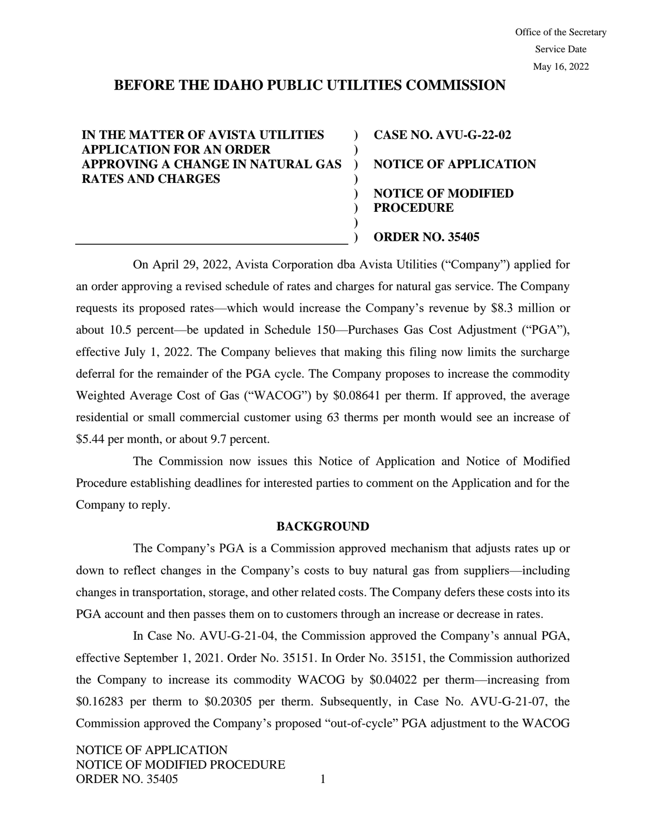# **BEFORE THE IDAHO PUBLIC UTILITIES COMMISSION**

**) ) ) ) ) ) ) )**

## **IN THE MATTER OF AVISTA UTILITIES APPLICATION FOR AN ORDER APPROVING A CHANGE IN NATURAL GAS RATES AND CHARGES**

**CASE NO. AVU-G-22-02 NOTICE OF APPLICATION NOTICE OF MODIFIED PROCEDURE ORDER NO. 35405**

On April 29, 2022, Avista Corporation dba Avista Utilities ("Company") applied for an order approving a revised schedule of rates and charges for natural gas service. The Company requests its proposed rates—which would increase the Company's revenue by \$8.3 million or about 10.5 percent—be updated in Schedule 150—Purchases Gas Cost Adjustment ("PGA"), effective July 1, 2022. The Company believes that making this filing now limits the surcharge deferral for the remainder of the PGA cycle. The Company proposes to increase the commodity Weighted Average Cost of Gas ("WACOG") by \$0.08641 per therm. If approved, the average residential or small commercial customer using 63 therms per month would see an increase of \$5.44 per month, or about 9.7 percent.

The Commission now issues this Notice of Application and Notice of Modified Procedure establishing deadlines for interested parties to comment on the Application and for the Company to reply.

### **BACKGROUND**

The Company's PGA is a Commission approved mechanism that adjusts rates up or down to reflect changes in the Company's costs to buy natural gas from suppliers—including changes in transportation, storage, and other related costs. The Company defers these costs into its PGA account and then passes them on to customers through an increase or decrease in rates.

In Case No. AVU-G-21-04, the Commission approved the Company's annual PGA, effective September 1, 2021. Order No. 35151. In Order No. 35151, the Commission authorized the Company to increase its commodity WACOG by \$0.04022 per therm—increasing from \$0.16283 per therm to \$0.20305 per therm. Subsequently, in Case No. AVU-G-21-07, the Commission approved the Company's proposed "out-of-cycle" PGA adjustment to the WACOG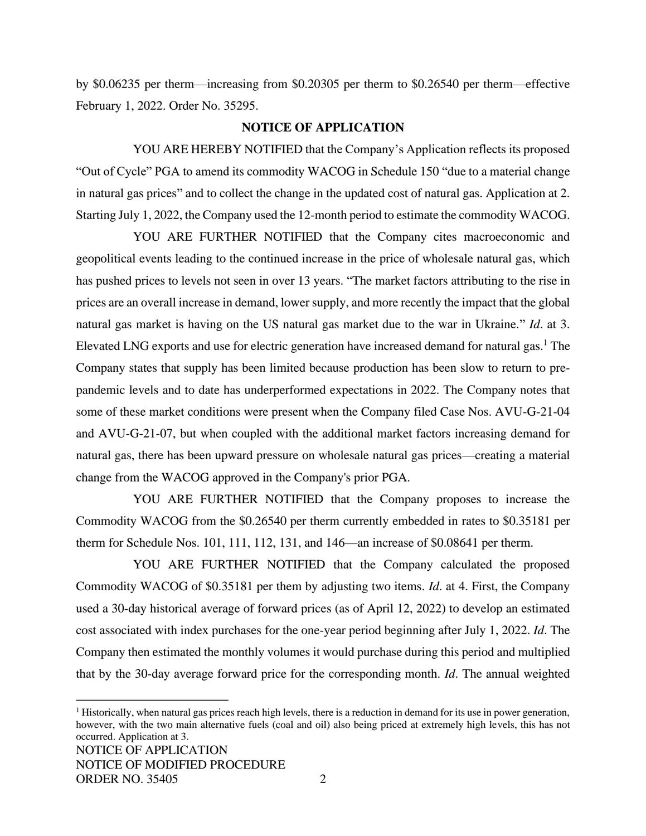by \$0.06235 per therm—increasing from \$0.20305 per therm to \$0.26540 per therm—effective February 1, 2022. Order No. 35295.

### **NOTICE OF APPLICATION**

YOU ARE HEREBY NOTIFIED that the Company's Application reflects its proposed "Out of Cycle" PGA to amend its commodity WACOG in Schedule 150 "due to a material change in natural gas prices" and to collect the change in the updated cost of natural gas. Application at 2. Starting July 1, 2022, the Company used the 12-month period to estimate the commodity WACOG.

YOU ARE FURTHER NOTIFIED that the Company cites macroeconomic and geopolitical events leading to the continued increase in the price of wholesale natural gas, which has pushed prices to levels not seen in over 13 years. "The market factors attributing to the rise in prices are an overall increase in demand, lower supply, and more recently the impact that the global natural gas market is having on the US natural gas market due to the war in Ukraine." *Id*. at 3. Elevated LNG exports and use for electric generation have increased demand for natural gas.<sup>1</sup> The Company states that supply has been limited because production has been slow to return to prepandemic levels and to date has underperformed expectations in 2022. The Company notes that some of these market conditions were present when the Company filed Case Nos. AVU-G-21-04 and AVU-G-21-07, but when coupled with the additional market factors increasing demand for natural gas, there has been upward pressure on wholesale natural gas prices—creating a material change from the WACOG approved in the Company's prior PGA.

YOU ARE FURTHER NOTIFIED that the Company proposes to increase the Commodity WACOG from the \$0.26540 per therm currently embedded in rates to \$0.35181 per therm for Schedule Nos. 101, 111, 112, 131, and 146—an increase of \$0.08641 per therm.

YOU ARE FURTHER NOTIFIED that the Company calculated the proposed Commodity WACOG of \$0.35181 per them by adjusting two items. *Id*. at 4. First, the Company used a 30-day historical average of forward prices (as of April 12, 2022) to develop an estimated cost associated with index purchases for the one-year period beginning after July 1, 2022. *Id*. The Company then estimated the monthly volumes it would purchase during this period and multiplied that by the 30-day average forward price for the corresponding month. *Id*. The annual weighted

NOTICE OF APPLICATION  $<sup>1</sup>$  Historically, when natural gas prices reach high levels, there is a reduction in demand for its use in power generation,</sup> however, with the two main alternative fuels (coal and oil) also being priced at extremely high levels, this has not occurred. Application at 3.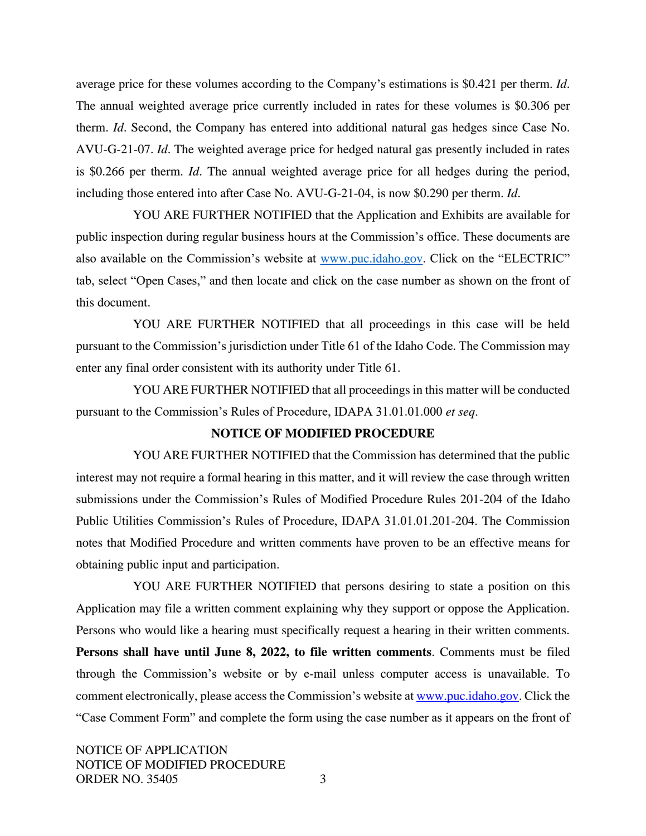average price for these volumes according to the Company's estimations is \$0.421 per therm. *Id*. The annual weighted average price currently included in rates for these volumes is \$0.306 per therm. *Id*. Second, the Company has entered into additional natural gas hedges since Case No. AVU-G-21-07. *Id*. The weighted average price for hedged natural gas presently included in rates is \$0.266 per therm. *Id*. The annual weighted average price for all hedges during the period, including those entered into after Case No. AVU-G-21-04, is now \$0.290 per therm. *Id*.

YOU ARE FURTHER NOTIFIED that the Application and Exhibits are available for public inspection during regular business hours at the Commission's office. These documents are also available on the Commission's website at [www.puc.idaho.gov.](http://www.puc.idaho.gov/) Click on the "ELECTRIC" tab, select "Open Cases," and then locate and click on the case number as shown on the front of this document.

YOU ARE FURTHER NOTIFIED that all proceedings in this case will be held pursuant to the Commission's jurisdiction under Title 61 of the Idaho Code. The Commission may enter any final order consistent with its authority under Title 61.

YOU ARE FURTHER NOTIFIED that all proceedings in this matter will be conducted pursuant to the Commission's Rules of Procedure, IDAPA 31.01.01.000 *et seq*.

### **NOTICE OF MODIFIED PROCEDURE**

YOU ARE FURTHER NOTIFIED that the Commission has determined that the public interest may not require a formal hearing in this matter, and it will review the case through written submissions under the Commission's Rules of Modified Procedure Rules 201-204 of the Idaho Public Utilities Commission's Rules of Procedure, IDAPA 31.01.01.201-204. The Commission notes that Modified Procedure and written comments have proven to be an effective means for obtaining public input and participation.

YOU ARE FURTHER NOTIFIED that persons desiring to state a position on this Application may file a written comment explaining why they support or oppose the Application. Persons who would like a hearing must specifically request a hearing in their written comments. **Persons shall have until June 8, 2022, to file written comments**. Comments must be filed through the Commission's website or by e-mail unless computer access is unavailable. To comment electronically, please access the Commission's website a[t www.puc.idaho.gov.](http://www.puc.idaho.gov/) Click the "Case Comment Form" and complete the form using the case number as it appears on the front of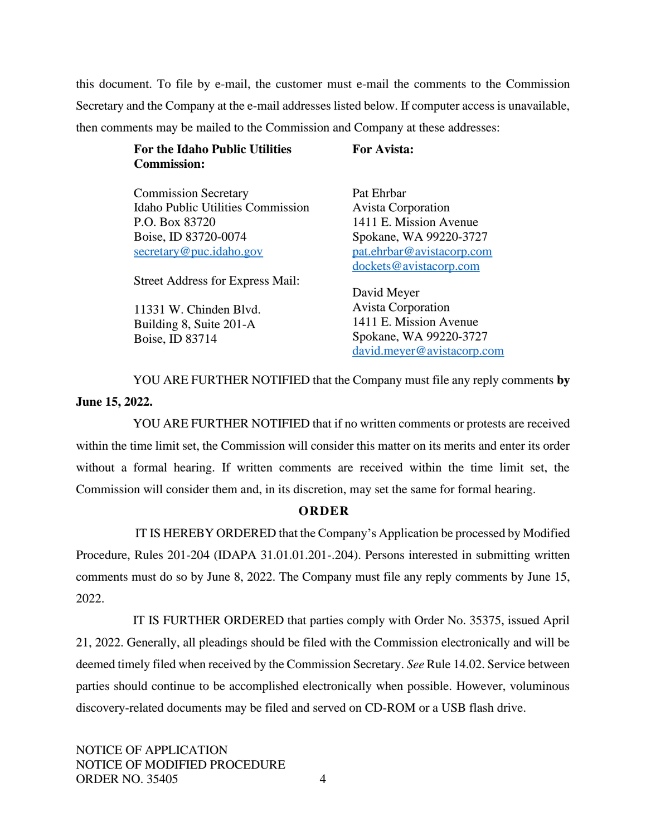this document. To file by e-mail, the customer must e-mail the comments to the Commission Secretary and the Company at the e-mail addresses listed below. If computer access is unavailable, then comments may be mailed to the Commission and Company at these addresses:

| For the Idaho Public Utilities | <b>For Avista:</b> |
|--------------------------------|--------------------|
| <b>Commission:</b>             |                    |

Commission Secretary Idaho Public Utilities Commission P.O. Box 83720 Boise, ID 83720-0074 [secretary@puc.idaho.gov](mailto:secretary@puc.idaho.gov)

Street Address for Express Mail:

11331 W. Chinden Blvd. Building 8, Suite 201-A Boise, ID 83714

Pat Ehrbar Avista Corporation 1411 E. Mission Avenue Spokane, WA 99220-3727 [pat.ehrbar@avistacorp.com](mailto:pat.ehrbar@avistacorp.com) [dockets@avistacorp.com](mailto:dockets@avistacorp.com)

David Meyer Avista Corporation 1411 E. Mission Avenue Spokane, WA 99220-3727 [david.meyer@avistacorp.com](mailto:david.meyer@avistacorp.com)

YOU ARE FURTHER NOTIFIED that the Company must file any reply comments **by June 15, 2022.**

YOU ARE FURTHER NOTIFIED that if no written comments or protests are received within the time limit set, the Commission will consider this matter on its merits and enter its order without a formal hearing. If written comments are received within the time limit set, the Commission will consider them and, in its discretion, may set the same for formal hearing.

# **O R D E R**

IT IS HEREBY ORDERED that the Company's Application be processed by Modified Procedure, Rules 201-204 (IDAPA 31.01.01.201-.204). Persons interested in submitting written comments must do so by June 8, 2022. The Company must file any reply comments by June 15, 2022.

IT IS FURTHER ORDERED that parties comply with Order No. 35375, issued April 21, 2022. Generally, all pleadings should be filed with the Commission electronically and will be deemed timely filed when received by the Commission Secretary. *See* Rule 14.02. Service between parties should continue to be accomplished electronically when possible. However, voluminous discovery-related documents may be filed and served on CD-ROM or a USB flash drive.